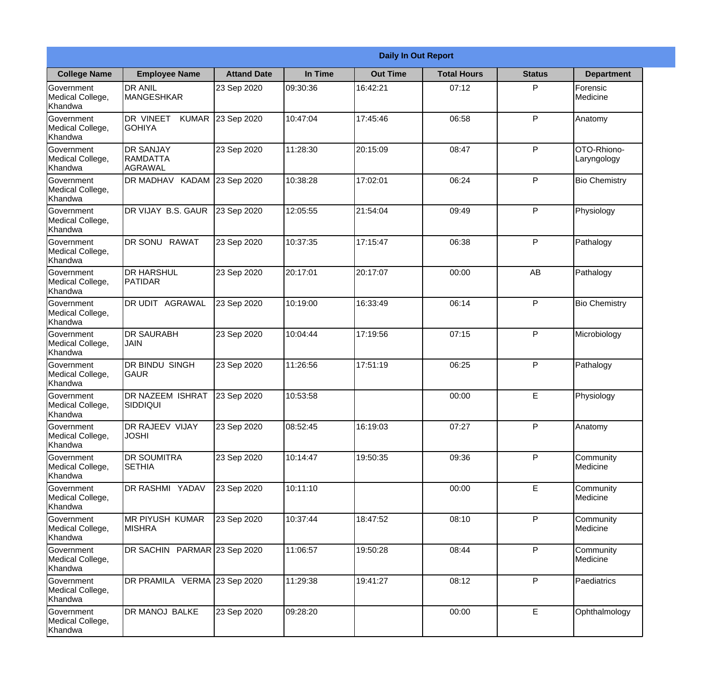|                                                  | <b>Daily In Out Report</b>                     |                    |          |                 |                    |               |                            |
|--------------------------------------------------|------------------------------------------------|--------------------|----------|-----------------|--------------------|---------------|----------------------------|
| <b>College Name</b>                              | <b>Employee Name</b>                           | <b>Attand Date</b> | In Time  | <b>Out Time</b> | <b>Total Hours</b> | <b>Status</b> | <b>Department</b>          |
| Government<br>Medical College,<br>Khandwa        | <b>DR ANIL</b><br><b>MANGESHKAR</b>            | 23 Sep 2020        | 09:30:36 | 16:42:21        | 07:12              | P             | Forensic<br>Medicine       |
| Government<br>Medical College,<br>Khandwa        | DR VINEET<br><b>GOHIYA</b>                     | KUMAR 23 Sep 2020  | 10:47:04 | 17:45:46        | 06:58              | P             | Anatomy                    |
| <b>Government</b><br>Medical College,<br>Khandwa | <b>DR SANJAY</b><br><b>RAMDATTA</b><br>AGRAWAL | 23 Sep 2020        | 11:28:30 | 20:15:09        | 08:47              | P             | OTO-Rhiono-<br>Laryngology |
| <b>Government</b><br>Medical College,<br>Khandwa | DR MADHAV KADAM                                | 23 Sep 2020        | 10:38:28 | 17:02:01        | 06:24              | P             | <b>Bio Chemistry</b>       |
| Government<br>Medical College,<br>Khandwa        | DR VIJAY B.S. GAUR                             | 23 Sep 2020        | 12:05:55 | 21:54:04        | 09:49              | P             | Physiology                 |
| Government<br>Medical College,<br>Khandwa        | DR SONU RAWAT                                  | 23 Sep 2020        | 10:37:35 | 17:15:47        | 06:38              | P             | Pathalogy                  |
| <b>Government</b><br>Medical College,<br>Khandwa | <b>DR HARSHUL</b><br><b>PATIDAR</b>            | 23 Sep 2020        | 20:17:01 | 20:17:07        | 00:00              | AB            | Pathalogy                  |
| Government<br>Medical College,<br>Khandwa        | DR UDIT AGRAWAL                                | 23 Sep 2020        | 10:19:00 | 16:33:49        | 06:14              | P             | <b>Bio Chemistry</b>       |
| Government<br>Medical College,<br>Khandwa        | <b>DR SAURABH</b><br><b>JAIN</b>               | 23 Sep 2020        | 10:04:44 | 17:19:56        | 07:15              | P             | Microbiology               |
| Government<br>Medical College,<br>Khandwa        | DR BINDU SINGH<br> GAUR                        | 23 Sep 2020        | 11:26:56 | 17:51:19        | 06:25              | P             | Pathalogy                  |
| Government<br>Medical College,<br>Khandwa        | <b>DR NAZEEM ISHRAT</b><br>SIDDIQUI            | 23 Sep 2020        | 10:53:58 |                 | 00:00              | E             | Physiology                 |
| Government<br>Medical College,<br>Khandwa        | <b>DR RAJEEV VIJAY</b><br><b>JOSHI</b>         | 23 Sep 2020        | 08:52:45 | 16:19:03        | 07:27              | P             | Anatomy                    |
| Government<br>Medical College,<br>Khandwa        | <b>DR SOUMITRA</b><br><b>SETHIA</b>            | 23 Sep 2020        | 10:14:47 | 19:50:35        | 09:36              | P             | Community<br>Medicine      |
| Government<br>Medical College,<br>Khandwa        | <b>DR RASHMI YADAV</b>                         | 23 Sep 2020        | 10:11:10 |                 | 00:00              | $\mathsf E$   | Community<br>Medicine      |
| <b>Government</b><br>Medical College,<br>Khandwa | <b>MR PIYUSH KUMAR</b><br><b>MISHRA</b>        | 23 Sep 2020        | 10:37:44 | 18:47:52        | 08:10              | P             | Community<br>Medicine      |
| Government<br>Medical College,<br>Khandwa        | DR SACHIN PARMAR 23 Sep 2020                   |                    | 11:06:57 | 19:50:28        | 08:44              | P             | Community<br>Medicine      |
| Government<br>Medical College,<br>Khandwa        | DR PRAMILA VERMA 23 Sep 2020                   |                    | 11:29:38 | 19:41:27        | 08:12              | P             | Paediatrics                |
| Government<br>Medical College,<br>Khandwa        | DR MANOJ BALKE                                 | 23 Sep 2020        | 09:28:20 |                 | 00:00              | $\mathsf E$   | Ophthalmology              |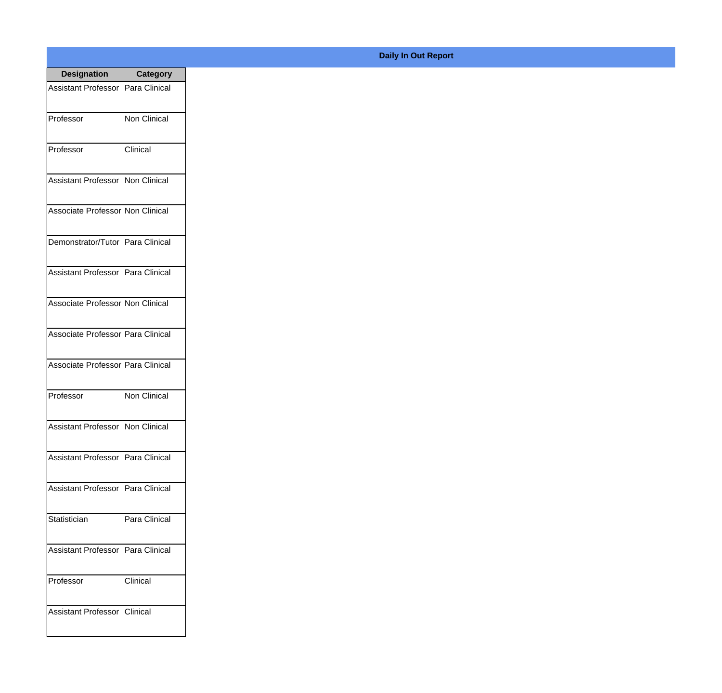| <b>Designation</b>                  | <b>Category</b>     |
|-------------------------------------|---------------------|
| <b>Assistant Professor</b>          | Para Clinical       |
| Professor                           | <b>Non Clinical</b> |
| Professor                           | Clinical            |
| Assistant Professor   Non Clinical  |                     |
| Associate Professor Non Clinical    |                     |
| Demonstrator/Tutor   Para Clinical  |                     |
| Assistant Professor   Para Clinical |                     |
| Associate Professor Non Clinical    |                     |
| Associate Professor Para Clinical   |                     |
| Associate Professor   Para Clinical |                     |
| Professor                           | Non Clinical        |
| Assistant Professor Non Clinical    |                     |
| <b>Assistant Professor</b>          | Para Clinical       |
| <b>Assistant Professor</b>          | Para Clinical       |
| Statistician                        | Para Clinical       |
| <b>Assistant Professor</b>          | Para Clinical       |
| Professor                           | Clinical            |
| <b>Assistant Professor</b>          | Clinical            |

## **Daily In Out Report**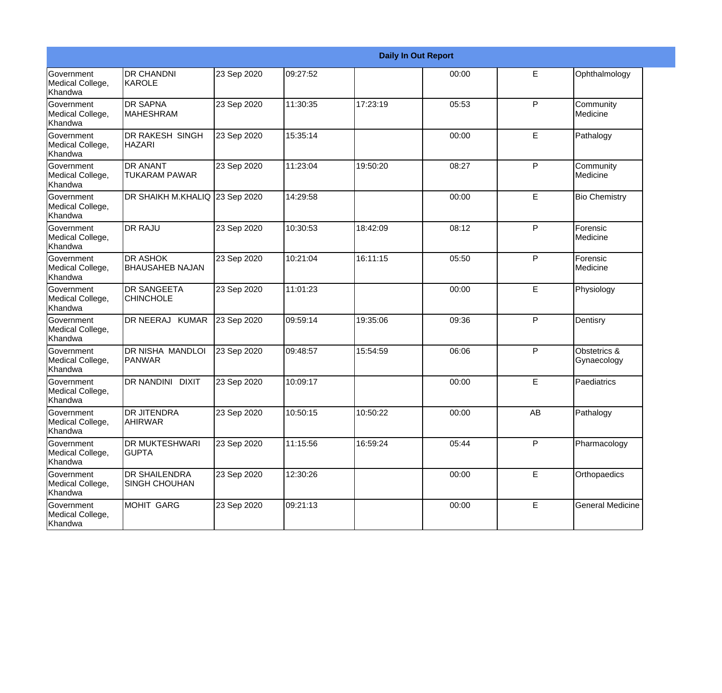|                                                  | <b>Daily In Out Report</b>                |             |          |          |       |    |                             |  |
|--------------------------------------------------|-------------------------------------------|-------------|----------|----------|-------|----|-----------------------------|--|
| Government<br>Medical College,<br>Khandwa        | <b>DR CHANDNI</b><br>KAROLE               | 23 Sep 2020 | 09:27:52 |          | 00:00 | E  | Ophthalmology               |  |
| Government<br>Medical College,<br>Khandwa        | <b>DR SAPNA</b><br><b>MAHESHRAM</b>       | 23 Sep 2020 | 11:30:35 | 17:23:19 | 05:53 | P  | Community<br>Medicine       |  |
| Government<br>Medical College,<br>Khandwa        | <b>DR RAKESH SINGH</b><br><b>HAZARI</b>   | 23 Sep 2020 | 15:35:14 |          | 00:00 | E  | Pathalogy                   |  |
| Government<br>Medical College,<br>Khandwa        | <b>DR ANANT</b><br><b>TUKARAM PAWAR</b>   | 23 Sep 2020 | 11:23:04 | 19:50:20 | 08:27 | P  | Community<br>Medicine       |  |
| Government<br>Medical College,<br>Khandwa        | DR SHAIKH M.KHALIQ 23 Sep 2020            |             | 14:29:58 |          | 00:00 | E  | <b>Bio Chemistry</b>        |  |
| Government<br>Medical College,<br>Khandwa        | <b>DR RAJU</b>                            | 23 Sep 2020 | 10:30:53 | 18:42:09 | 08:12 | P  | Forensic<br>Medicine        |  |
| Government<br>Medical College,<br>Khandwa        | <b>DR ASHOK</b><br><b>BHAUSAHEB NAJAN</b> | 23 Sep 2020 | 10:21:04 | 16:11:15 | 05:50 | P  | Forensic<br>Medicine        |  |
| Government<br>Medical College,<br>Khandwa        | DR SANGEETA<br><b>CHINCHOLE</b>           | 23 Sep 2020 | 11:01:23 |          | 00:00 | E  | Physiology                  |  |
| <b>Government</b><br>Medical College,<br>Khandwa | DR NEERAJ KUMAR                           | 23 Sep 2020 | 09:59:14 | 19:35:06 | 09:36 | P  | Dentisry                    |  |
| Government<br>Medical College,<br>Khandwa        | DR NISHA MANDLOI<br>PANWAR                | 23 Sep 2020 | 09:48:57 | 15:54:59 | 06:06 | P  | Obstetrics &<br>Gynaecology |  |
| Government<br>Medical College,<br>Khandwa        | <b>DR NANDINI</b><br><b>DIXIT</b>         | 23 Sep 2020 | 10:09:17 |          | 00:00 | E  | Paediatrics                 |  |
| Government<br>Medical College,<br>Khandwa        | <b>DR JITENDRA</b><br>AHIRWAR             | 23 Sep 2020 | 10:50:15 | 10:50:22 | 00:00 | AB | Pathalogy                   |  |
| Government<br>Medical College,<br>Khandwa        | DR MUKTESHWARI<br><b>GUPTA</b>            | 23 Sep 2020 | 11:15:56 | 16:59:24 | 05:44 | P  | Pharmacology                |  |
| Government<br>Medical College,<br>Khandwa        | DR SHAILENDRA<br><b>SINGH CHOUHAN</b>     | 23 Sep 2020 | 12:30:26 |          | 00:00 | E. | Orthopaedics                |  |
| Government<br>Medical College,<br>Khandwa        | <b>MOHIT GARG</b>                         | 23 Sep 2020 | 09:21:13 |          | 00:00 | E  | <b>General Medicine</b>     |  |